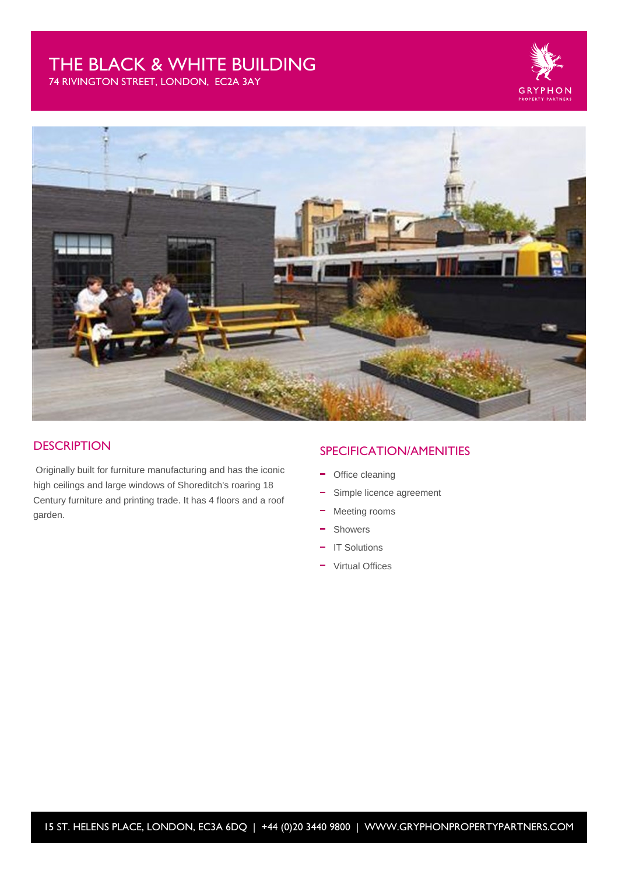# THE BLACK & WHITE BUILDING

74 RIVINGTON STREET, LONDON, EC2A 3AY





#### **DESCRIPTION**

 Originally built for furniture manufacturing and has the iconic high ceilings and large windows of Shoreditch's roaring 18 Century furniture and printing trade. It has 4 floors and a roof garden.

### SPECIFICATION/AMENITIES

- Office cleaning
- Simple licence agreement
- Meeting rooms
- Showers  $\equiv$
- IT Solutions
- Virtual Offices